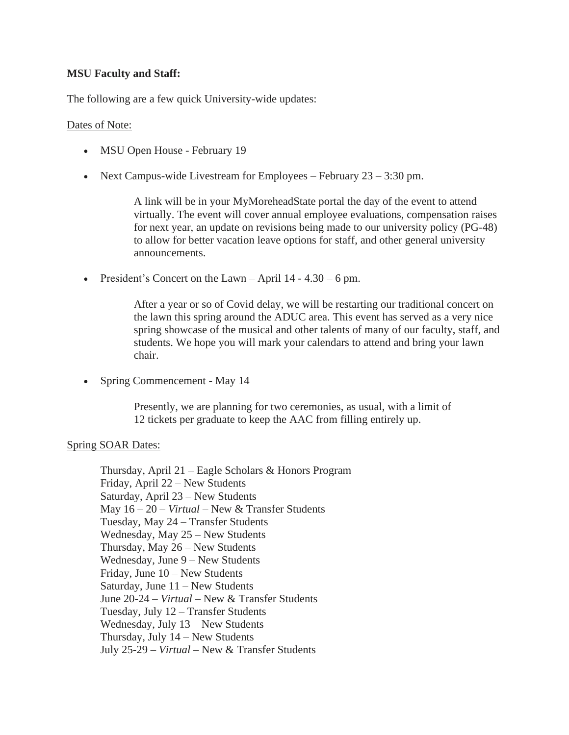## **MSU Faculty and Staff:**

The following are a few quick University-wide updates:

## Dates of Note:

- MSU Open House February 19
- Next Campus-wide Livestream for Employees February  $23 3:30$  pm.

A link will be in your MyMoreheadState portal the day of the event to attend virtually. The event will cover annual employee evaluations, compensation raises for next year, an update on revisions being made to our university policy (PG-48) to allow for better vacation leave options for staff, and other general university announcements.

• President's Concert on the Lawn – April  $14 - 4.30 - 6$  pm.

After a year or so of Covid delay, we will be restarting our traditional concert on the lawn this spring around the ADUC area. This event has served as a very nice spring showcase of the musical and other talents of many of our faculty, staff, and students. We hope you will mark your calendars to attend and bring your lawn chair.

• Spring Commencement - May 14

Presently, we are planning for two ceremonies, as usual, with a limit of 12 tickets per graduate to keep the AAC from filling entirely up.

## Spring SOAR Dates:

Thursday, April 21 – Eagle Scholars & Honors Program Friday, April 22 – New Students Saturday, April 23 – New Students May 16 – 20 – *Virtual* – New & Transfer Students Tuesday, May 24 – Transfer Students Wednesday, May 25 – New Students Thursday, May 26 – New Students Wednesday, June 9 – New Students Friday, June 10 – New Students Saturday, June 11 – New Students June 20-24 – *Virtual* – New & Transfer Students Tuesday, July 12 – Transfer Students Wednesday, July 13 – New Students Thursday, July 14 – New Students July 25-29 – *Virtual* – New & Transfer Students